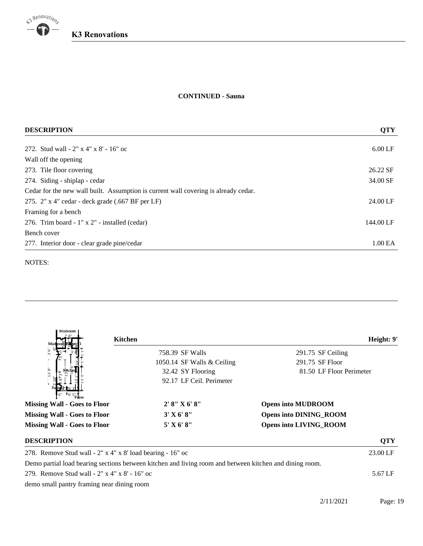

19

## **K3 Renovations**

## **CONTINUED - Sauna**

| <b>DESCRIPTION</b>                                                                  | <b>QTY</b>          |  |
|-------------------------------------------------------------------------------------|---------------------|--|
| 272. Stud wall - 2" x 4" x 8' - 16" oc                                              | $6.00$ LF           |  |
| Wall off the opening                                                                |                     |  |
| 273. Tile floor covering                                                            | 26.22 SF            |  |
| 274. Siding - shiplap - cedar                                                       | 34.00 SF            |  |
| Cedar for the new wall built. Assumption is current wall covering is already cedar. |                     |  |
| 275. $2"$ x 4" cedar - deck grade (.667 BF per LF)                                  | 24.00 LF            |  |
| Framing for a bench                                                                 |                     |  |
| 276. Trim board - 1" x 2" - installed (cedar)                                       | 144.00 LF           |  |
| Bench cover                                                                         |                     |  |
| 277. Interior door - clear grade pine/cedar                                         | 1.00 <sub>E</sub> A |  |

NOTES:

| Mudroom                                                       |                                                                                                         |                               |
|---------------------------------------------------------------|---------------------------------------------------------------------------------------------------------|-------------------------------|
| Mud                                                           | Kitchen                                                                                                 | Height: 9'                    |
|                                                               | 758.39 SF Walls                                                                                         | 291.75 SF Ceiling             |
|                                                               | 1050.14 SF Walls & Ceiling                                                                              | 291.75 SF Floor               |
| IS 8"                                                         | 32.42 SY Flooring                                                                                       | 81.50 LF Floor Perimeter      |
|                                                               | 92.17 LF Ceil. Perimeter                                                                                |                               |
| Fover<br><b>Missing Wall - Goes to Floor</b>                  | 2' 8''  X 6' 8''                                                                                        | <b>Opens into MUDROOM</b>     |
| <b>Missing Wall - Goes to Floor</b>                           | 3' X 6' 8''                                                                                             | <b>Opens into DINING_ROOM</b> |
| <b>Missing Wall - Goes to Floor</b>                           | $5'$ X 6' 8"                                                                                            | <b>Opens into LIVING ROOM</b> |
| <b>DESCRIPTION</b>                                            |                                                                                                         | <b>QTY</b>                    |
| 278. Remove Stud wall - $2''$ x 4" x 8' load bearing - 16" oc |                                                                                                         |                               |
|                                                               | Demo partial load bearing sections between kitchen and living room and between kitchen and dining room. |                               |
| 279. Remove Stud wall - 2" x 4" x 8' - 16" oc                 |                                                                                                         |                               |

demo small pantry framing near dining room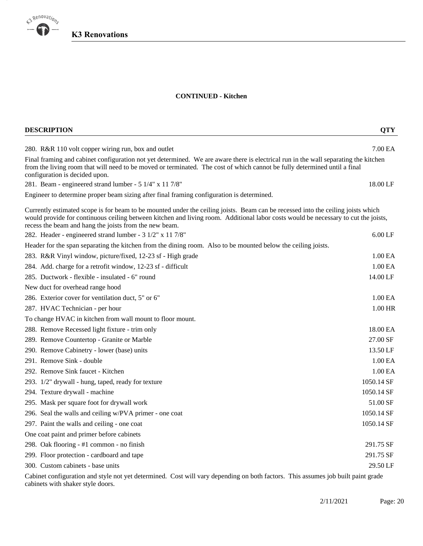

20

## **CONTINUED - Kitchen**

| <b>DESCRIPTION</b>                                                                                                                                                                                                                                                                                                               | <b>QTY</b>          |
|----------------------------------------------------------------------------------------------------------------------------------------------------------------------------------------------------------------------------------------------------------------------------------------------------------------------------------|---------------------|
| 280. R&R 110 volt copper wiring run, box and outlet                                                                                                                                                                                                                                                                              | 7.00 EA             |
| Final framing and cabinet configuration not yet determined. We are aware there is electrical run in the wall separating the kitchen<br>from the living room that will need to be moved or terminated. The cost of which cannot be fully determined until a final<br>configuration is decided upon.                               |                     |
| 281. Beam - engineered strand lumber - 5 1/4" x 11 7/8"                                                                                                                                                                                                                                                                          | 18.00 LF            |
| Engineer to determine proper beam sizing after final framing configuration is determined.                                                                                                                                                                                                                                        |                     |
| Currently estimated scope is for beam to be mounted under the ceiling joists. Beam can be recessed into the ceiling joists which<br>would provide for continuous ceiling between kitchen and living room. Additional labor costs would be necessary to cut the joists,<br>recess the beam and hang the joists from the new beam. |                     |
| 282. Header - engineered strand lumber - 3 1/2" x 11 7/8"                                                                                                                                                                                                                                                                        | $6.00$ LF           |
| Header for the span separating the kitchen from the dining room. Also to be mounted below the ceiling joists.                                                                                                                                                                                                                    |                     |
| 283. R&R Vinyl window, picture/fixed, 12-23 sf - High grade                                                                                                                                                                                                                                                                      | 1.00 <sub>E</sub> A |
| 284. Add. charge for a retrofit window, 12-23 sf - difficult                                                                                                                                                                                                                                                                     | 1.00 EA             |
| 285. Ductwork - flexible - insulated - 6" round                                                                                                                                                                                                                                                                                  | 14.00 LF            |
| New duct for overhead range hood                                                                                                                                                                                                                                                                                                 |                     |
| 286. Exterior cover for ventilation duct, 5" or 6"                                                                                                                                                                                                                                                                               | 1.00 <sub>E</sub> A |
| 287. HVAC Technician - per hour                                                                                                                                                                                                                                                                                                  | 1.00 HR             |
| To change HVAC in kitchen from wall mount to floor mount.                                                                                                                                                                                                                                                                        |                     |
| 288. Remove Recessed light fixture - trim only                                                                                                                                                                                                                                                                                   | 18.00 EA            |
| 289. Remove Countertop - Granite or Marble                                                                                                                                                                                                                                                                                       | 27.00 SF            |
| 290. Remove Cabinetry - lower (base) units                                                                                                                                                                                                                                                                                       | 13.50 LF            |
| 291. Remove Sink - double                                                                                                                                                                                                                                                                                                        | 1.00 EA             |
| 292. Remove Sink faucet - Kitchen                                                                                                                                                                                                                                                                                                | 1.00 EA             |
| 293. 1/2" drywall - hung, taped, ready for texture                                                                                                                                                                                                                                                                               | 1050.14 SF          |
| 294. Texture drywall - machine                                                                                                                                                                                                                                                                                                   | 1050.14 SF          |
| 295. Mask per square foot for drywall work                                                                                                                                                                                                                                                                                       | 51.00 SF            |
| 296. Seal the walls and ceiling w/PVA primer - one coat                                                                                                                                                                                                                                                                          | 1050.14 SF          |
| 297. Paint the walls and ceiling - one coat                                                                                                                                                                                                                                                                                      | 1050.14 SF          |
| One coat paint and primer before cabinets                                                                                                                                                                                                                                                                                        |                     |
| 298. Oak flooring - #1 common - no finish                                                                                                                                                                                                                                                                                        | 291.75 SF           |
| 299. Floor protection - cardboard and tape                                                                                                                                                                                                                                                                                       | 291.75 SF           |
| 300. Custom cabinets - base units                                                                                                                                                                                                                                                                                                | 29.50 LF            |
|                                                                                                                                                                                                                                                                                                                                  |                     |

Cabinet configuration and style not yet determined. Cost will vary depending on both factors. This assumes job built paint grade cabinets with shaker style doors.